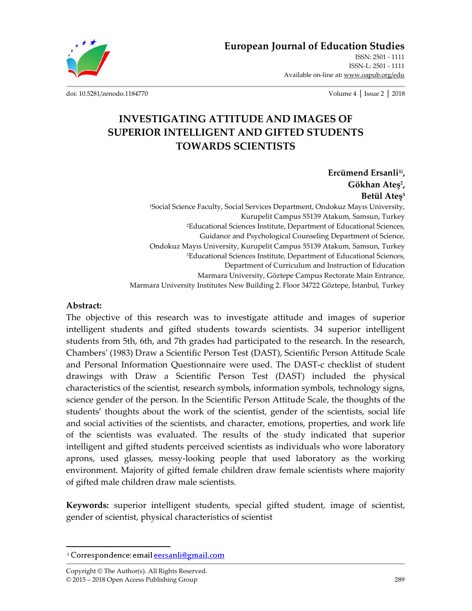**European Journal of Education Studies**

ISSN: 2501 - 1111 ISSN-L: 2501 - 1111 Available on-line at**:** www.oapub.org/edu

doi: 10.5281/zenodo.1184770 Volume 4 │ Issue 2 │ 2018

## **INVESTIGATING ATTITUDE AND IMAGES OF SUPERIOR INTELLIGENT AND GIFTED STUDENTS TOWARDS SCIENTISTS**

Ercümend Ersanli<sup>1i</sup>, **Gökhan Ateş2, Betül Ateş<sup>3</sup>** <sup>1</sup>Social Science Faculty, Social Services Department, Ondokuz Mayıs University, Kurupelit Campus 55139 Atakum, Samsun, Turkey 2Educational Sciences Institute, Department of Educational Sciences, Guidance and Psychological Counseling Department of Science, Ondokuz Mayıs University, Kurupelit Campus 55139 Atakum, Samsun, Turkey 3Educational Sciences Institute, Department of Educational Sciences, Department of Curriculum and Instruction of Education Marmara University, Göztepe Campus Rectorate Main Entrance, Marmara University Institutes New Building 2. Floor 34722 Göztepe, İstanbul, Turkey

#### **Abstract:**

 $\overline{a}$ 

The objective of this research was to investigate attitude and images of superior intelligent students and gifted students towards scientists. 34 superior intelligent students from 5th, 6th, and 7th grades had participated to the research. In the research, Chambers' (1983) Draw a Scientific Person Test (DAST), Scientific Person Attitude Scale and Personal Information Questionnaire were used. The DAST-c checklist of student drawings with Draw a Scientific Person Test (DAST) included the physical characteristics of the scientist, research symbols, information symbols, technology signs, science gender of the person. In the Scientific Person Attitude Scale, the thoughts of the students' thoughts about the work of the scientist, gender of the scientists, social life and social activities of the scientists, and character, emotions, properties, and work life of the scientists was evaluated. The results of the study indicated that superior intelligent and gifted students perceived scientists as individuals who wore laboratory aprons, used glasses, messy-looking people that used laboratory as the working environment. Majority of gifted female children draw female scientists where majority of gifted male children draw male scientists.

**Keywords:** superior intelligent students, special gifted student, image of scientist, gender of scientist, physical characteristics of scientist

<sup>&</sup>lt;sup>i</sup> Correspondence: email **eersanli@gmail.com**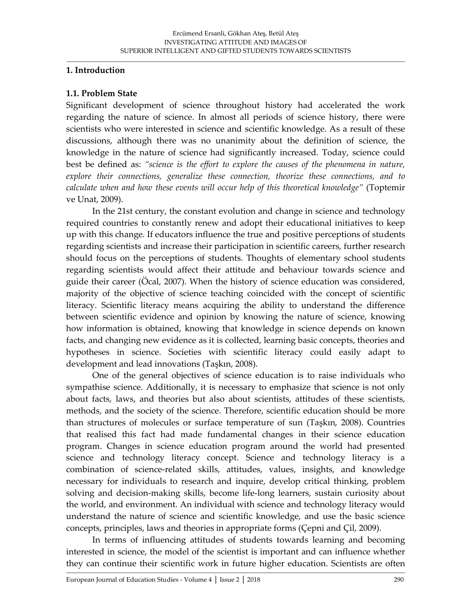#### **1. Introduction**

#### **1.1. Problem State**

Significant development of science throughout history had accelerated the work regarding the nature of science. In almost all periods of science history, there were scientists who were interested in science and scientific knowledge. As a result of these discussions, although there was no unanimity about the definition of science, the knowledge in the nature of science had significantly increased. Today, science could best be defined as: *"science is the effort to explore the causes of the phenomena in nature, explore their connections, generalize these connection, theorize these connections, and to calculate when and how these events will occur help of this theoretical knowledge"* (Toptemir ve Unat, 2009).

In the 21st century, the constant evolution and change in science and technology required countries to constantly renew and adopt their educational initiatives to keep up with this change. If educators influence the true and positive perceptions of students regarding scientists and increase their participation in scientific careers, further research should focus on the perceptions of students. Thoughts of elementary school students regarding scientists would affect their attitude and behaviour towards science and guide their career (Öcal, 2007). When the history of science education was considered, majority of the objective of science teaching coincided with the concept of scientific literacy. Scientific literacy means acquiring the ability to understand the difference between scientific evidence and opinion by knowing the nature of science, knowing how information is obtained, knowing that knowledge in science depends on known facts, and changing new evidence as it is collected, learning basic concepts, theories and hypotheses in science. Societies with scientific literacy could easily adapt to development and lead innovations (Taşkın, 2008).

One of the general objectives of science education is to raise individuals who sympathise science. Additionally, it is necessary to emphasize that science is not only about facts, laws, and theories but also about scientists, attitudes of these scientists, methods, and the society of the science. Therefore, scientific education should be more than structures of molecules or surface temperature of sun (Taşkın, 2008). Countries that realised this fact had made fundamental changes in their science education program. Changes in science education program around the world had presented science and technology literacy concept. Science and technology literacy is a combination of science-related skills, attitudes, values, insights, and knowledge necessary for individuals to research and inquire, develop critical thinking, problem solving and decision-making skills, become life-long learners, sustain curiosity about the world, and environment. An individual with science and technology literacy would understand the nature of science and scientific knowledge, and use the basic science concepts, principles, laws and theories in appropriate forms (Çepni and Çil, 2009).

In terms of influencing attitudes of students towards learning and becoming interested in science, the model of the scientist is important and can influence whether they can continue their scientific work in future higher education. Scientists are often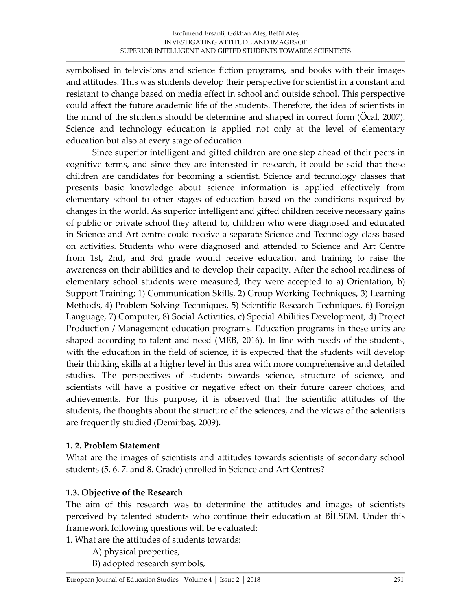symbolised in televisions and science fiction programs, and books with their images and attitudes. This was students develop their perspective for scientist in a constant and resistant to change based on media effect in school and outside school. This perspective could affect the future academic life of the students. Therefore, the idea of scientists in the mind of the students should be determine and shaped in correct form (Öcal, 2007). Science and technology education is applied not only at the level of elementary education but also at every stage of education.

Since superior intelligent and gifted children are one step ahead of their peers in cognitive terms, and since they are interested in research, it could be said that these children are candidates for becoming a scientist. Science and technology classes that presents basic knowledge about science information is applied effectively from elementary school to other stages of education based on the conditions required by changes in the world. As superior intelligent and gifted children receive necessary gains of public or private school they attend to, children who were diagnosed and educated in Science and Art centre could receive a separate Science and Technology class based on activities. Students who were diagnosed and attended to Science and Art Centre from 1st, 2nd, and 3rd grade would receive education and training to raise the awareness on their abilities and to develop their capacity. After the school readiness of elementary school students were measured, they were accepted to a) Orientation, b) Support Training; 1) Communication Skills, 2) Group Working Techniques, 3) Learning Methods, 4) Problem Solving Techniques, 5) Scientific Research Techniques, 6) Foreign Language, 7) Computer, 8) Social Activities, c) Special Abilities Development, d) Project Production / Management education programs. Education programs in these units are shaped according to talent and need (MEB, 2016). In line with needs of the students, with the education in the field of science, it is expected that the students will develop their thinking skills at a higher level in this area with more comprehensive and detailed studies. The perspectives of students towards science, structure of science, and scientists will have a positive or negative effect on their future career choices, and achievements. For this purpose, it is observed that the scientific attitudes of the students, the thoughts about the structure of the sciences, and the views of the scientists are frequently studied (Demirbaş, 2009).

#### **1. 2. Problem Statement**

What are the images of scientists and attitudes towards scientists of secondary school students (5. 6. 7. and 8. Grade) enrolled in Science and Art Centres?

#### **1.3. Objective of the Research**

The aim of this research was to determine the attitudes and images of scientists perceived by talented students who continue their education at BİLSEM. Under this framework following questions will be evaluated:

1. What are the attitudes of students towards:

A) physical properties,

B) adopted research symbols,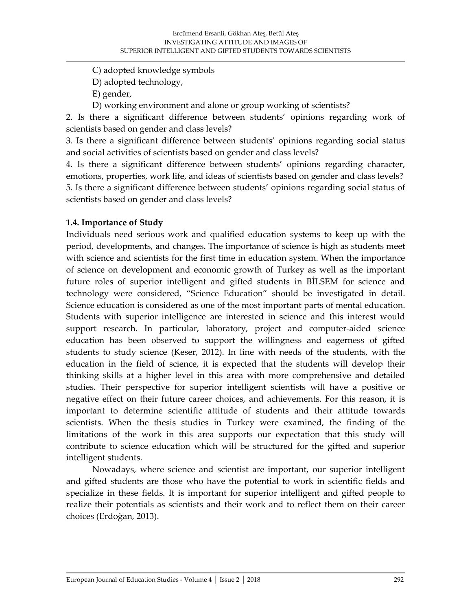C) adopted knowledge symbols

D) adopted technology,

E) gender,

D) working environment and alone or group working of scientists?

2. Is there a significant difference between students' opinions regarding work of scientists based on gender and class levels?

3. Is there a significant difference between students' opinions regarding social status and social activities of scientists based on gender and class levels?

4. Is there a significant difference between students' opinions regarding character, emotions, properties, work life, and ideas of scientists based on gender and class levels? 5. Is there a significant difference between students' opinions regarding social status of scientists based on gender and class levels?

#### **1.4. Importance of Study**

Individuals need serious work and qualified education systems to keep up with the period, developments, and changes. The importance of science is high as students meet with science and scientists for the first time in education system. When the importance of science on development and economic growth of Turkey as well as the important future roles of superior intelligent and gifted students in BİLSEM for science and technology were considered, "Science Education" should be investigated in detail. Science education is considered as one of the most important parts of mental education. Students with superior intelligence are interested in science and this interest would support research. In particular, laboratory, project and computer-aided science education has been observed to support the willingness and eagerness of gifted students to study science (Keser, 2012). In line with needs of the students, with the education in the field of science, it is expected that the students will develop their thinking skills at a higher level in this area with more comprehensive and detailed studies. Their perspective for superior intelligent scientists will have a positive or negative effect on their future career choices, and achievements. For this reason, it is important to determine scientific attitude of students and their attitude towards scientists. When the thesis studies in Turkey were examined, the finding of the limitations of the work in this area supports our expectation that this study will contribute to science education which will be structured for the gifted and superior intelligent students.

Nowadays, where science and scientist are important, our superior intelligent and gifted students are those who have the potential to work in scientific fields and specialize in these fields. It is important for superior intelligent and gifted people to realize their potentials as scientists and their work and to reflect them on their career choices (Erdoğan, 2013).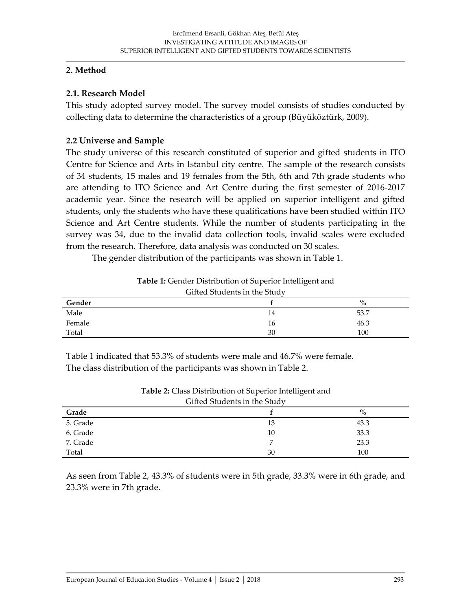#### **2. Method**

#### **2.1. Research Model**

This study adopted survey model. The survey model consists of studies conducted by collecting data to determine the characteristics of a group (Büyüköztürk, 2009).

#### **2.2 Universe and Sample**

The study universe of this research constituted of superior and gifted students in ITO Centre for Science and Arts in Istanbul city centre. The sample of the research consists of 34 students, 15 males and 19 females from the 5th, 6th and 7th grade students who are attending to ITO Science and Art Centre during the first semester of 2016-2017 academic year. Since the research will be applied on superior intelligent and gifted students, only the students who have these qualifications have been studied within ITO Science and Art Centre students. While the number of students participating in the survey was 34, due to the invalid data collection tools, invalid scales were excluded from the research. Therefore, data analysis was conducted on 30 scales.

The gender distribution of the participants was shown in Table 1.

### **Table 1:** Gender Distribution of Superior Intelligent and

| Gifted Students in the Study |    |      |  |  |  |  |  |
|------------------------------|----|------|--|--|--|--|--|
| Gender                       |    | $\%$ |  |  |  |  |  |
| Male                         | 14 | 53.7 |  |  |  |  |  |
| Female                       | 16 | 46.3 |  |  |  |  |  |
| Total                        | 30 | 100  |  |  |  |  |  |

Table 1 indicated that 53.3% of students were male and 46.7% were female. The class distribution of the participants was shown in Table 2.

|          | Gifted Students in the Study |      |
|----------|------------------------------|------|
| Grade    |                              | $\%$ |
| 5. Grade | 13                           | 43.3 |
| 6. Grade | 10                           | 33.3 |
| 7. Grade |                              | 23.3 |
| Total    | 30                           | 100  |

**Table 2:** Class Distribution of Superior Intelligent and

As seen from Table 2, 43.3% of students were in 5th grade, 33.3% were in 6th grade, and 23.3% were in 7th grade.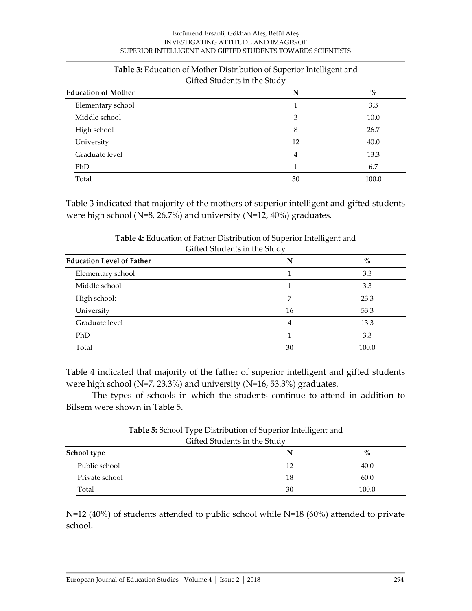#### Ercümend Ersanli, Gökhan Ateş, Betül Ateş INVESTIGATING ATTITUDE AND IMAGES OF SUPERIOR INTELLIGENT AND GIFTED STUDENTS TOWARDS SCIENTISTS

| <b>Education of Mother</b> | N  | $\%$  |
|----------------------------|----|-------|
| Elementary school          |    | 3.3   |
| Middle school              | 3  | 10.0  |
| High school                | 8  | 26.7  |
| University                 | 12 | 40.0  |
| Graduate level             | 4  | 13.3  |
| PhD                        |    | 6.7   |
| Total                      | 30 | 100.0 |

#### **Table 3:** Education of Mother Distribution of Superior Intelligent and Cifted Students in the Study

Table 3 indicated that majority of the mothers of superior intelligent and gifted students were high school (N=8, 26.7%) and university (N=12, 40%) graduates.

| <b>Education Level of Father</b> | N  | $\%$  |
|----------------------------------|----|-------|
| Elementary school                |    | 3.3   |
| Middle school                    |    | 3.3   |
| High school:                     |    | 23.3  |
| University                       | 16 | 53.3  |
| Graduate level                   | 4  | 13.3  |
| PhD                              |    | 3.3   |
| Total                            | 30 | 100.0 |

**Table 4:** Education of Father Distribution of Superior Intelligent and Gifted Students in the Study

Table 4 indicated that majority of the father of superior intelligent and gifted students were high school (N=7, 23.3%) and university (N=16, 53.3%) graduates.

The types of schools in which the students continue to attend in addition to Bilsem were shown in Table 5.

| Gifted Students in the Study |    |       |  |  |  |
|------------------------------|----|-------|--|--|--|
| School type                  |    | $\%$  |  |  |  |
| Public school                | 12 | 40.0  |  |  |  |
| Private school               | 18 | 60.0  |  |  |  |
| Total                        | 30 | 100.0 |  |  |  |

**Table 5:** School Type Distribution of Superior Intelligent and Gifted Students in the Study

N=12 (40%) of students attended to public school while N=18 (60%) attended to private school.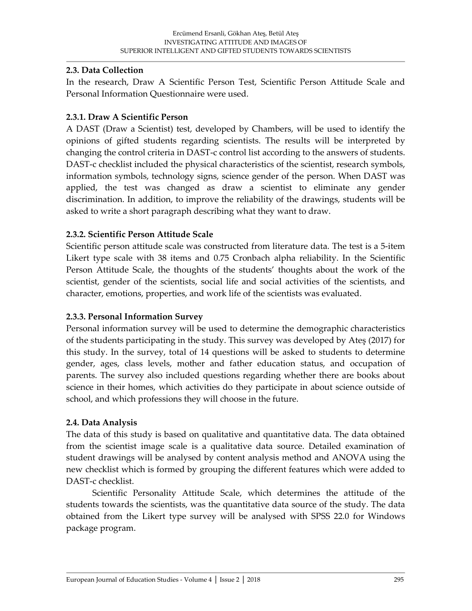#### **2.3. Data Collection**

In the research, Draw A Scientific Person Test, Scientific Person Attitude Scale and Personal Information Questionnaire were used.

#### **2.3.1. Draw A Scientific Person**

A DAST (Draw a Scientist) test, developed by Chambers, will be used to identify the opinions of gifted students regarding scientists. The results will be interpreted by changing the control criteria in DAST-c control list according to the answers of students. DAST-c checklist included the physical characteristics of the scientist, research symbols, information symbols, technology signs, science gender of the person. When DAST was applied, the test was changed as draw a scientist to eliminate any gender discrimination. In addition, to improve the reliability of the drawings, students will be asked to write a short paragraph describing what they want to draw.

### **2.3.2. Scientific Person Attitude Scale**

Scientific person attitude scale was constructed from literature data. The test is a 5-item Likert type scale with 38 items and 0.75 Cronbach alpha reliability. In the Scientific Person Attitude Scale, the thoughts of the students' thoughts about the work of the scientist, gender of the scientists, social life and social activities of the scientists, and character, emotions, properties, and work life of the scientists was evaluated.

#### **2.3.3. Personal Information Survey**

Personal information survey will be used to determine the demographic characteristics of the students participating in the study. This survey was developed by Ateş (2017) for this study. In the survey, total of 14 questions will be asked to students to determine gender, ages, class levels, mother and father education status, and occupation of parents. The survey also included questions regarding whether there are books about science in their homes, which activities do they participate in about science outside of school, and which professions they will choose in the future.

#### **2.4. Data Analysis**

The data of this study is based on qualitative and quantitative data. The data obtained from the scientist image scale is a qualitative data source. Detailed examination of student drawings will be analysed by content analysis method and ANOVA using the new checklist which is formed by grouping the different features which were added to DAST-c checklist.

Scientific Personality Attitude Scale, which determines the attitude of the students towards the scientists, was the quantitative data source of the study. The data obtained from the Likert type survey will be analysed with SPSS 22.0 for Windows package program.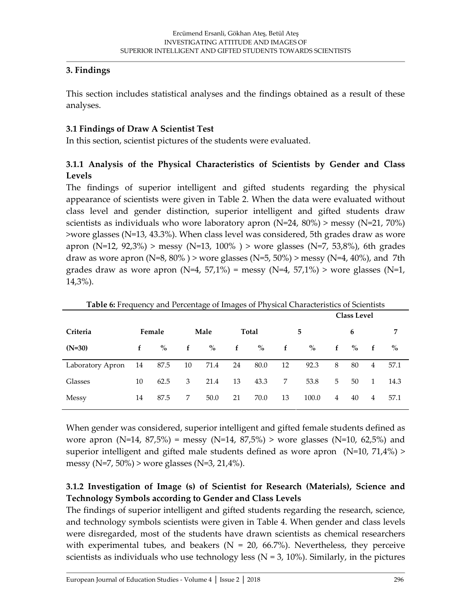#### **3. Findings**

This section includes statistical analyses and the findings obtained as a result of these analyses.

#### **3.1 Findings of Draw A Scientist Test**

In this section, scientist pictures of the students were evaluated.

## **3.1.1 Analysis of the Physical Characteristics of Scientists by Gender and Class Levels**

The findings of superior intelligent and gifted students regarding the physical appearance of scientists were given in Table 2. When the data were evaluated without class level and gender distinction, superior intelligent and gifted students draw scientists as individuals who wore laboratory apron (N=24, 80%) > messy (N=21, 70%) >wore glasses (N=13, 43.3%). When class level was considered, 5th grades draw as wore apron (N=12, 92,3%) > messy (N=13, 100%) > wore glasses (N=7, 53,8%), 6th grades draw as wore apron (N=8, 80%) > wore glasses (N=5, 50%) > messy (N=4, 40%), and 7th grades draw as wore apron ( $N=4$ , 57,1%) = messy ( $N=4$ , 57,1%) > wore glasses ( $N=1$ , 14,3%).

|                  |    |        |    |               |              |       |             |       |   | <b>Class Level</b> |                |               |
|------------------|----|--------|----|---------------|--------------|-------|-------------|-------|---|--------------------|----------------|---------------|
| Criteria         |    | Female |    | Male          |              | Total |             | 5     |   | 6                  |                | 7             |
| $(N=30)$         | f  | $\%$   | f  | $\frac{0}{0}$ | $\mathbf{f}$ | $\%$  | $\mathbf f$ | $\%$  | f | $\%$               | f              | $\frac{0}{0}$ |
| Laboratory Apron | 14 | 87.5   | 10 | 71.4          | 24           | 80.0  | 12          | 92.3  | 8 | 80                 | $\overline{4}$ | 57.1          |
| Glasses          | 10 | 62.5   | 3  | 21.4          | 13           | 43.3  | 7           | 53.8  | 5 | 50                 | $\mathbf{1}$   | 14.3          |
| Messy            | 14 | 87.5   | 7  | 50.0          | 21           | 70.0  | 13          | 100.0 | 4 | 40                 | 4              | 57.1          |

**Table 6:** Frequency and Percentage of Images of Physical Characteristics of Scientists

When gender was considered, superior intelligent and gifted female students defined as wore apron  $(N=14, 87.5\%)$  = messy  $(N=14, 87.5\%)$  > wore glasses  $(N=10, 62.5\%)$  and superior intelligent and gifted male students defined as wore apron ( $N=10$ ,  $71,4\%$ ) > messy (N=7, 50%) > wore glasses (N=3, 21,4%).

## **3.1.2 Investigation of Image (s) of Scientist for Research (Materials), Science and Technology Symbols according to Gender and Class Levels**

The findings of superior intelligent and gifted students regarding the research, science, and technology symbols scientists were given in Table 4. When gender and class levels were disregarded, most of the students have drawn scientists as chemical researchers with experimental tubes, and beakers ( $N = 20$ , 66.7%). Nevertheless, they perceive scientists as individuals who use technology less ( $N = 3$ , 10%). Similarly, in the pictures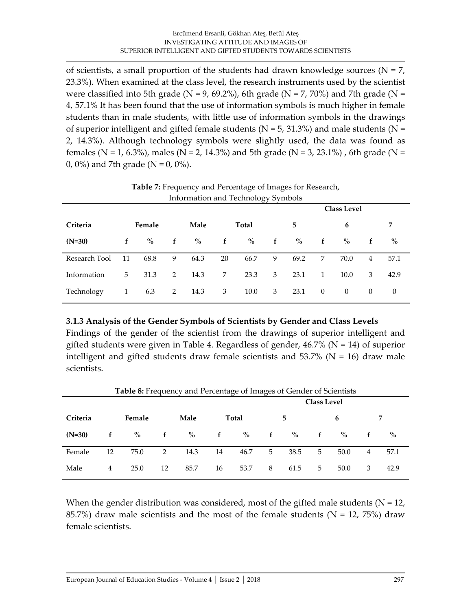of scientists, a small proportion of the students had drawn knowledge sources ( $N = 7$ , 23.3%). When examined at the class level, the research instruments used by the scientist were classified into 5th grade ( $N = 9$ , 69.2%), 6th grade ( $N = 7$ , 70%) and 7th grade ( $N =$ 4, 57.1% It has been found that the use of information symbols is much higher in female students than in male students, with little use of information symbols in the drawings of superior intelligent and gifted female students ( $N = 5$ , 31.3%) and male students ( $N =$ 2, 14.3%). Although technology symbols were slightly used, the data was found as females (N = 1, 6.3%), males (N = 2, 14.3%) and 5th grade (N = 3, 23.1%), 6th grade (N = 0, 0%) and 7th grade ( $N = 0$ , 0%).

|               |    |        |             |      |                |       |   |      |              | <b>Class Level</b> |          |          |
|---------------|----|--------|-------------|------|----------------|-------|---|------|--------------|--------------------|----------|----------|
| Criteria      |    | Female |             | Male |                | Total |   | 5    |              | 6                  |          | 7        |
| $(N=30)$      | f  | $\%$   | f           | $\%$ | f              | $\%$  | f | $\%$ | f            | $\%$               | f        | $\%$     |
| Research Tool | 11 | 68.8   | 9           | 64.3 | 20             | 66.7  | 9 | 69.2 | 7            | 70.0               | 4        | 57.1     |
| Information   | 5  | 31.3   | 2           | 14.3 | 7 <sup>7</sup> | 23.3  | 3 | 23.1 | $\mathbf{1}$ | 10.0               | 3        | 42.9     |
| Technology    | 1  | 6.3    | $2^{\circ}$ | 14.3 | 3              | 10.0  | 3 | 23.1 | $\theta$     | $\theta$           | $\theta$ | $\theta$ |

**Table 7:** Frequency and Percentage of Images for Research, Information and Technology Symbols

**3.1.3 Analysis of the Gender Symbols of Scientists by Gender and Class Levels**

Findings of the gender of the scientist from the drawings of superior intelligent and gifted students were given in Table 4. Regardless of gender,  $46.7\%$  (N = 14) of superior intelligent and gifted students draw female scientists and  $53.7\%$  (N = 16) draw male scientists.

| Table 8: Frequency and Percentage of Images of Gender of Scientists |    |        |    |                    |    |       |   |      |   |      |   |      |
|---------------------------------------------------------------------|----|--------|----|--------------------|----|-------|---|------|---|------|---|------|
|                                                                     |    |        |    | <b>Class Level</b> |    |       |   |      |   |      |   |      |
| Criteria                                                            |    | Female |    | Male               |    | Total |   | 5    |   | 6    |   | 7    |
| $(N=30)$                                                            | f  | $\%$   | f  | $\%$               | f  | $\%$  | f | $\%$ | f | $\%$ |   | $\%$ |
| Female                                                              | 12 | 75.0   | 2  | 14.3               | 14 | 46.7  | 5 | 38.5 | 5 | 50.0 | 4 | 57.1 |
| Male                                                                | 4  | 25.0   | 12 | 85.7               | 16 | 53.7  | 8 | 61.5 | 5 | 50.0 | 3 | 42.9 |

When the gender distribution was considered, most of the gifted male students ( $N = 12$ , 85.7%) draw male scientists and the most of the female students ( $N = 12, 75\%$ ) draw female scientists.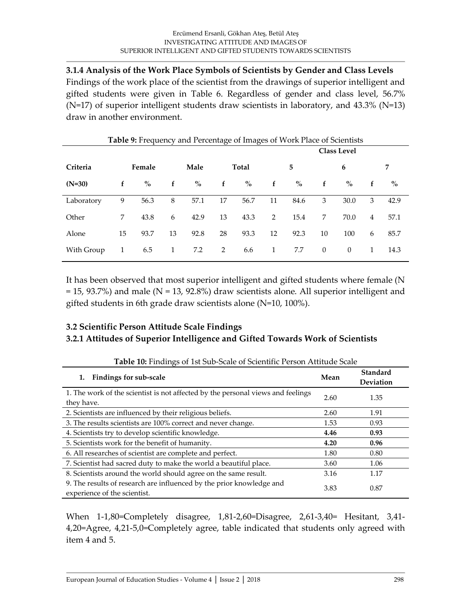**3.1.4 Analysis of the Work Place Symbols of Scientists by Gender and Class Levels** Findings of the work place of the scientist from the drawings of superior intelligent and gifted students were given in Table 6. Regardless of gender and class level, 56.7% (N=17) of superior intelligent students draw scientists in laboratory, and 43.3% (N=13) draw in another environment.

|            |    |        |    |      |    | <b>Table 9:</b> Frequency and Percentage of Images of Work Place of Scientists<br><b>Class Level</b> |    |               |          |          |                |      |
|------------|----|--------|----|------|----|------------------------------------------------------------------------------------------------------|----|---------------|----------|----------|----------------|------|
| Criteria   |    | Female |    | Male |    | Total                                                                                                |    | 5             |          | 6        |                | 7    |
| $(N=30)$   | f  | $\%$   | f  | $\%$ | f  | $\%$                                                                                                 | f  | $\frac{0}{0}$ | f        | $\%$     | f              | $\%$ |
| Laboratory | 9  | 56.3   | 8  | 57.1 | 17 | 56.7                                                                                                 | 11 | 84.6          | 3        | 30.0     | 3              | 42.9 |
| Other      | 7  | 43.8   | 6  | 42.9 | 13 | 43.3                                                                                                 | 2  | 15.4          | 7        | 70.0     | $\overline{4}$ | 57.1 |
| Alone      | 15 | 93.7   | 13 | 92.8 | 28 | 93.3                                                                                                 | 12 | 92.3          | 10       | 100      | 6              | 85.7 |
| With Group | 1  | 6.5    | 1  | 7.2  | 2  | 6.6                                                                                                  | 1  | 7.7           | $\theta$ | $\theta$ | $\mathbf{1}$   | 14.3 |

It has been observed that most superior intelligent and gifted students where female (N = 15, 93.7%) and male (N = 13, 92.8%) draw scientists alone. All superior intelligent and gifted students in 6th grade draw scientists alone (N=10, 100%).

### **3.2 Scientific Person Attitude Scale Findings 3.2.1 Attitudes of Superior Intelligence and Gifted Towards Work of Scientists**

| Table 10: Findings of 1st Sub-Scale of Scientific Person Attitude Scale                              |      |                              |  |  |  |  |  |  |
|------------------------------------------------------------------------------------------------------|------|------------------------------|--|--|--|--|--|--|
| <b>Findings for sub-scale</b>                                                                        | Mean | Standard<br><b>Deviation</b> |  |  |  |  |  |  |
| 1. The work of the scientist is not affected by the personal views and feelings<br>they have.        | 2.60 | 1.35                         |  |  |  |  |  |  |
| 2. Scientists are influenced by their religious beliefs.                                             | 2.60 | 1.91                         |  |  |  |  |  |  |
| 3. The results scientists are 100% correct and never change.                                         | 1.53 | 0.93                         |  |  |  |  |  |  |
| 4. Scientists try to develop scientific knowledge.                                                   | 4.46 | 0.93                         |  |  |  |  |  |  |
| 5. Scientists work for the benefit of humanity.                                                      | 4.20 | 0.96                         |  |  |  |  |  |  |
| 6. All researches of scientist are complete and perfect.                                             | 1.80 | 0.80                         |  |  |  |  |  |  |
| 7. Scientist had sacred duty to make the world a beautiful place.                                    | 3.60 | 1.06                         |  |  |  |  |  |  |
| 8. Scientists around the world should agree on the same result.                                      | 3.16 | 1.17                         |  |  |  |  |  |  |
| 9. The results of research are influenced by the prior knowledge and<br>experience of the scientist. | 3.83 | 0.87                         |  |  |  |  |  |  |

When 1-1,80=Completely disagree, 1,81-2,60=Disagree, 2,61-3,40= Hesitant, 3,41- 4,20=Agree, 4,21-5,0=Completely agree, table indicated that students only agreed with item 4 and 5.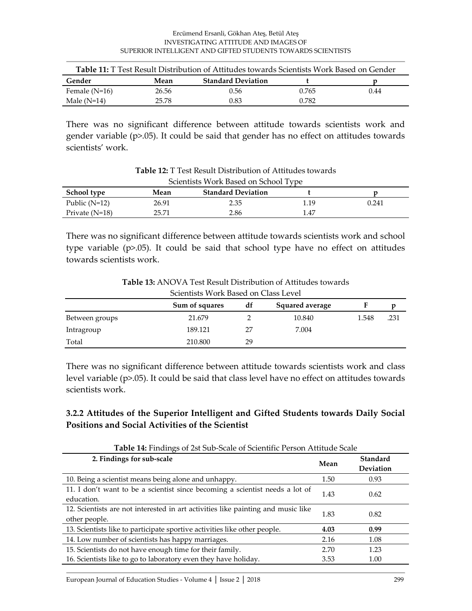#### Ercümend Ersanli, Gökhan Ateş, Betül Ateş INVESTIGATING ATTITUDE AND IMAGES OF SUPERIOR INTELLIGENT AND GIFTED STUDENTS TOWARDS SCIENTISTS

| Table 11: T Test Result Distribution of Attitudes towards Scientists Work Based on Gender |       |                           |       |      |  |  |  |  |  |
|-------------------------------------------------------------------------------------------|-------|---------------------------|-------|------|--|--|--|--|--|
| Gender                                                                                    | Mean  | <b>Standard Deviation</b> |       |      |  |  |  |  |  |
| Female $(N=16)$                                                                           | 26.56 | 0.56                      | 0.765 | 0.44 |  |  |  |  |  |
| Male $(N=14)$                                                                             | 25.78 | 0.83                      | 0.782 |      |  |  |  |  |  |

There was no significant difference between attitude towards scientists work and gender variable (p>.05). It could be said that gender has no effect on attitudes towards scientists' work.

| Scientists Work Based on School Type |       |                           |      |       |  |  |  |  |
|--------------------------------------|-------|---------------------------|------|-------|--|--|--|--|
| <b>School type</b>                   | Mean  | <b>Standard Deviation</b> |      |       |  |  |  |  |
| Public $(N=12)$                      | 26.91 | 2.35                      | 1.19 | 0.241 |  |  |  |  |
| Private $(N=18)$                     | 25.71 | 2.86                      | 1.47 |       |  |  |  |  |

**Table 12:** T Test Result Distribution of Attitudes towards

There was no significant difference between attitude towards scientists work and school

type variable (p>.05). It could be said that school type have no effect on attitudes towards scientists work.

**Table 13:** ANOVA Test Result Distribution of Attitudes towards Scientists Work Based on Class Level

| OCICILISIS <i>WOLK DASCU OIL CLASS LEVEL</i> |                |    |                        |       |      |  |
|----------------------------------------------|----------------|----|------------------------|-------|------|--|
|                                              | Sum of squares | df | <b>Squared average</b> |       |      |  |
| Between groups                               | 21.679         |    | 10.840                 | 1.548 | .231 |  |
| Intragroup                                   | 189.121        | 27 | 7.004                  |       |      |  |
| Total                                        | 210.800        | 29 |                        |       |      |  |

There was no significant difference between attitude towards scientists work and class level variable (p>.05). It could be said that class level have no effect on attitudes towards scientists work.

## **3.2.2 Attitudes of the Superior Intelligent and Gifted Students towards Daily Social Positions and Social Activities of the Scientist**

| <b>Table 14:</b> Findings of 2st Sub-Scale of Scientific Person Attitude Scale                    |      |                       |  |  |  |  |
|---------------------------------------------------------------------------------------------------|------|-----------------------|--|--|--|--|
| 2. Findings for sub-scale                                                                         | Mean | Standard<br>Deviation |  |  |  |  |
| 10. Being a scientist means being alone and unhappy.                                              | 1.50 | 0.93                  |  |  |  |  |
| 11. I don't want to be a scientist since becoming a scientist needs a lot of<br>education.        | 1.43 | 0.62                  |  |  |  |  |
| 12. Scientists are not interested in art activities like painting and music like<br>other people. | 1.83 | 0.82                  |  |  |  |  |
| 13. Scientists like to participate sportive activities like other people.                         | 4.03 | 0.99                  |  |  |  |  |
| 14. Low number of scientists has happy marriages.                                                 | 2.16 | 1.08                  |  |  |  |  |
| 15. Scientists do not have enough time for their family.                                          | 2.70 | 1.23                  |  |  |  |  |
| 16. Scientists like to go to laboratory even they have holiday.                                   | 3.53 | 1.00                  |  |  |  |  |

**Table 14:** Findings of 2st Sub-Scale of Scientific Person Attitude Scale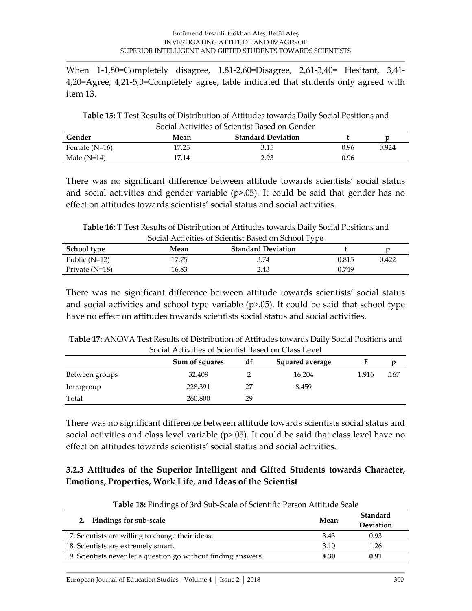When 1-1,80=Completely disagree, 1,81-2,60=Disagree, 2,61-3,40= Hesitant, 3,41- 4,20=Agree, 4,21-5,0=Completely agree, table indicated that students only agreed with item 13.

**Table 15:** T Test Results of Distribution of Attitudes towards Daily Social Positions and Social Activities of Scientist Based on Gender

| Gender          | Mean  | <b>Standard Deviation</b> |      |       |
|-----------------|-------|---------------------------|------|-------|
| Female $(N=16)$ | 17.25 | 3.15                      | 9.96 | 0.924 |
| Male $(N=14)$   | 17.14 | 2.93                      | 0.96 |       |

There was no significant difference between attitude towards scientists' social status and social activities and gender variable  $(p>0.05)$ . It could be said that gender has no effect on attitudes towards scientists' social status and social activities.

**Table 16:** T Test Results of Distribution of Attitudes towards Daily Social Positions and Social Activities of Scientist Based on School Type

| School type      | Mean  | <b>Standard Deviation</b> |       |       |
|------------------|-------|---------------------------|-------|-------|
| Public $(N=12)$  | 17.75 | 3.74                      | 0.815 | 9.422 |
| Private $(N=18)$ | 16.83 | 2.43                      | 0.749 |       |

There was no significant difference between attitude towards scientists' social status and social activities and school type variable  $(p>0.05)$ . It could be said that school type have no effect on attitudes towards scientists social status and social activities.

| Table 17: ANOVA Test Results of Distribution of Attitudes towards Daily Social Positions and |
|----------------------------------------------------------------------------------------------|
| Social Activities of Scientist Based on Class Level                                          |

| DOCHI I RHTTHICD OI DUICHHDI DUDCU OII CHIDD LCTCI |                |    |                 |       |      |  |
|----------------------------------------------------|----------------|----|-----------------|-------|------|--|
|                                                    | Sum of squares | df | Squared average |       |      |  |
| Between groups                                     | 32.409         |    | 16.204          | 1.916 | .167 |  |
| Intragroup                                         | 228.391        | 27 | 8.459           |       |      |  |
| Total                                              | 260.800        | 29 |                 |       |      |  |

There was no significant difference between attitude towards scientists social status and social activities and class level variable  $(p>0.05)$ . It could be said that class level have no effect on attitudes towards scientists' social status and social activities.

### **3.2.3 Attitudes of the Superior Intelligent and Gifted Students towards Character, Emotions, Properties, Work Life, and Ideas of the Scientist**

| 2. Findings for sub-scale                                       | Mean | Standard<br><b>Deviation</b> |
|-----------------------------------------------------------------|------|------------------------------|
| 17. Scientists are willing to change their ideas.               | 3.43 | 0.93                         |
| 18. Scientists are extremely smart.                             | 3.10 | 1.26                         |
| 19. Scientists never let a question go without finding answers. | 4.30 | 0.91                         |

**Table 18:** Findings of 3rd Sub-Scale of Scientific Person Attitude Scale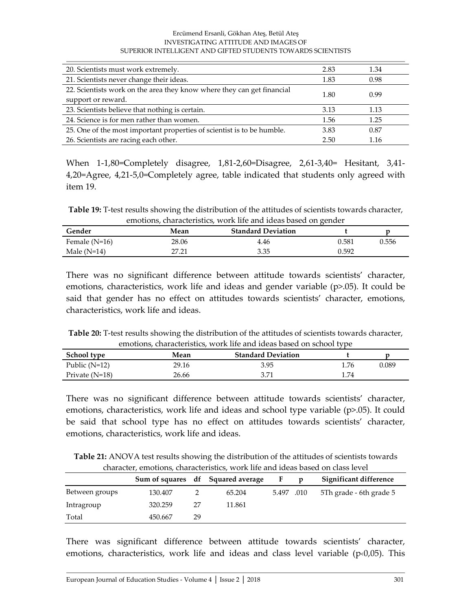#### Ercümend Ersanli, Gökhan Ateş, Betül Ateş INVESTIGATING ATTITUDE AND IMAGES OF SUPERIOR INTELLIGENT AND GIFTED STUDENTS TOWARDS SCIENTISTS

| 20. Scientists must work extremely.                                                          | 2.83 | 1.34 |
|----------------------------------------------------------------------------------------------|------|------|
| 21. Scientists never change their ideas.                                                     | 1.83 | 0.98 |
| 22. Scientists work on the area they know where they can get financial<br>support or reward. | 1.80 | 0.99 |
| 23. Scientists believe that nothing is certain.                                              | 3.13 | 1.13 |
| 24. Science is for men rather than women.                                                    | 1.56 | 1.25 |
| 25. One of the most important properties of scientist is to be humble.                       | 3.83 | 0.87 |
| 26. Scientists are racing each other.                                                        | 2.50 | 1.16 |

When 1-1,80=Completely disagree, 1,81-2,60=Disagree, 2,61-3,40= Hesitant, 3,41- 4,20=Agree, 4,21-5,0=Completely agree, table indicated that students only agreed with item 19.

**Table 19:** T-test results showing the distribution of the attitudes of scientists towards character, emotions, characteristics, work life and ideas based on gender

| Gender          | Mean  | <b>Standard Deviation</b> |       |       |
|-----------------|-------|---------------------------|-------|-------|
| Female $(N=16)$ | 28.06 | 4.46                      | 0.581 | 0.556 |
| Male $(N=14)$   | 17 רי | 3.35                      | 0.592 |       |

There was no significant difference between attitude towards scientists' character, emotions, characteristics, work life and ideas and gender variable  $(p>0.05)$ . It could be said that gender has no effect on attitudes towards scientists' character, emotions, characteristics, work life and ideas.

**Table 20:** T-test results showing the distribution of the attitudes of scientists towards character, emotions, characteristics, work life and ideas based on school type

| School type     | Mean  | <b>Standard Deviation</b> |      |       |
|-----------------|-------|---------------------------|------|-------|
| Public $(N=12)$ | 29.16 | 3.95                      | l.76 | 0.089 |
| Private (N=18)  | 26.66 | 3.71                      | l.74 |       |

There was no significant difference between attitude towards scientists' character, emotions, characteristics, work life and ideas and school type variable (p>.05). It could be said that school type has no effect on attitudes towards scientists' character, emotions, characteristics, work life and ideas.

**Table 21:** ANOVA test results showing the distribution of the attitudes of scientists towards character, emotions, characteristics, work life and ideas based on class level

|                |         |    | Sum of squares df Squared average | F.         | p | Significant difference |
|----------------|---------|----|-----------------------------------|------------|---|------------------------|
| Between groups | 130.407 |    | 65.204                            | 5.497 .010 |   |                        |
| Intragroup     | 320.259 |    | 11.861                            |            |   |                        |
| Total          | 450.667 | 29 |                                   |            |   |                        |

There was significant difference between attitude towards scientists' character, emotions, characteristics, work life and ideas and class level variable ( $p(0,05)$ ). This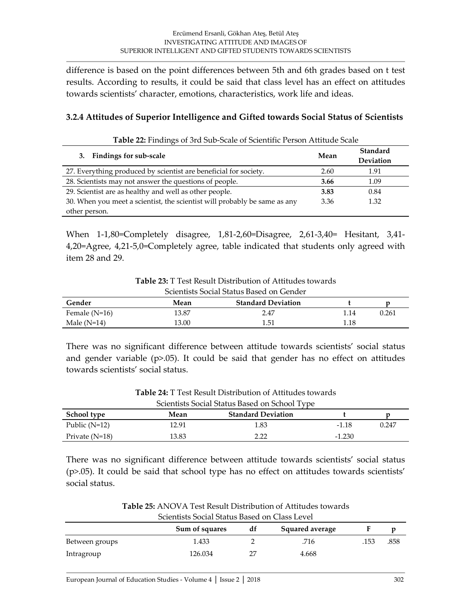difference is based on the point differences between 5th and 6th grades based on t test results. According to results, it could be said that class level has an effect on attitudes towards scientists' character, emotions, characteristics, work life and ideas.

#### **3.2.4 Attitudes of Superior Intelligence and Gifted towards Social Status of Scientists**

**Table 22:** Findings of 3rd Sub-Scale of Scientific Person Attitude Scale

| <b>Findings for sub-scale</b><br>3.                                       | Mean | Standard<br>Deviation |
|---------------------------------------------------------------------------|------|-----------------------|
| 27. Everything produced by scientist are beneficial for society.          | 2.60 | 1.91                  |
| 28. Scientists may not answer the questions of people.                    | 3.66 | 1.09                  |
| 29. Scientist are as healthy and well as other people.                    | 3.83 | 0.84                  |
| 30. When you meet a scientist, the scientist will probably be same as any | 3.36 | 1.32                  |
| other person.                                                             |      |                       |

When 1-1,80=Completely disagree, 1,81-2,60=Disagree, 2,61-3,40= Hesitant, 3,41- 4,20=Agree, 4,21-5,0=Completely agree, table indicated that students only agreed with item 28 and 29.

**Table 23:** T Test Result Distribution of Attitudes towards

| Scientists Social Status Based on Gender |       |                           |      |       |  |  |
|------------------------------------------|-------|---------------------------|------|-------|--|--|
| Gender                                   | Mean  | <b>Standard Deviation</b> |      |       |  |  |
| Female $(N=16)$                          | 13.87 | 2.47                      | 1.14 | 0.261 |  |  |
| Male $(N=14)$                            | 13.00 | 1.51                      | 1.18 |       |  |  |

There was no significant difference between attitude towards scientists' social status and gender variable (p>.05). It could be said that gender has no effect on attitudes towards scientists' social status.

| Scientists Social Status Based on School Type |       |                           |          |       |  |  |
|-----------------------------------------------|-------|---------------------------|----------|-------|--|--|
| <b>School type</b>                            | Mean  | <b>Standard Deviation</b> |          |       |  |  |
| Public $(N=12)$                               | 12.91 | 1.83                      | $-1.18$  | 0.247 |  |  |
| Private $(N=18)$                              | 13.83 | 2 22                      | $-1.230$ |       |  |  |

**Table 24:** T Test Result Distribution of Attitudes towards

There was no significant difference between attitude towards scientists' social status (p>.05). It could be said that school type has no effect on attitudes towards scientists' social status.

| <b>Table 25:</b> ANOVA Test Result Distribution of Attitudes towards |
|----------------------------------------------------------------------|
| Scientists Social Status Based on Class Level                        |

|                | Sum of squares | df | Squared average |      |      |
|----------------|----------------|----|-----------------|------|------|
| Between groups | 1.433          |    | .716            | .153 | .858 |
| Intragroup     | 126.034        |    | 4.668           |      |      |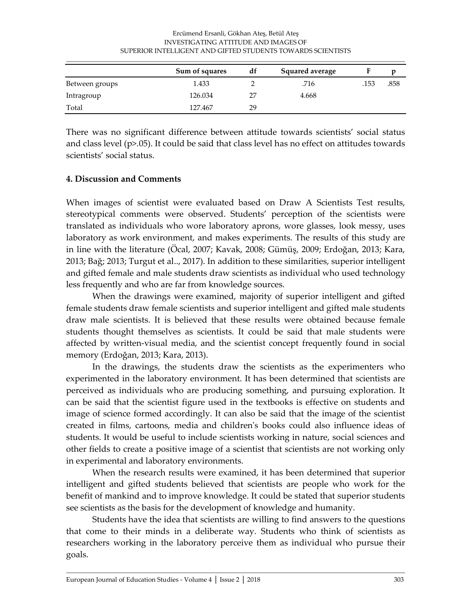|                | INVESTIGATING ATTITUDE AND IMAGES OF<br>SUPERIOR INTELLIGENT AND GIFTED STUDENTS TOWARDS SCIENTISTS |    |                 |      |      |  |  |
|----------------|-----------------------------------------------------------------------------------------------------|----|-----------------|------|------|--|--|
|                | Sum of squares                                                                                      | df | Squared average |      |      |  |  |
| Between groups | 1.433                                                                                               |    | 716             | .153 | .858 |  |  |

Intragroup 126.034 27 4.668

Total 127.467 29

# Ercümend Ersanli, Gökhan Ateş, Betül Ateş

There was no significant difference between attitude towards scientists' social status and class level (p>.05). It could be said that class level has no effect on attitudes towards scientists' social status.

#### **4. Discussion and Comments**

 $\sim$ 

When images of scientist were evaluated based on Draw A Scientists Test results, stereotypical comments were observed. Students' perception of the scientists were translated as individuals who wore laboratory aprons, wore glasses, look messy, uses laboratory as work environment, and makes experiments. The results of this study are in line with the literature (Öcal, 2007; Kavak, 2008; Gümüş, 2009; Erdoğan, 2013; Kara, 2013; Bağ; 2013; Turgut et al.., 2017). In addition to these similarities, superior intelligent and gifted female and male students draw scientists as individual who used technology less frequently and who are far from knowledge sources.

When the drawings were examined, majority of superior intelligent and gifted female students draw female scientists and superior intelligent and gifted male students draw male scientists. It is believed that these results were obtained because female students thought themselves as scientists. It could be said that male students were affected by written-visual media, and the scientist concept frequently found in social memory (Erdoğan, 2013; Kara, 2013).

In the drawings, the students draw the scientists as the experimenters who experimented in the laboratory environment. It has been determined that scientists are perceived as individuals who are producing something, and pursuing exploration. It can be said that the scientist figure used in the textbooks is effective on students and image of science formed accordingly. It can also be said that the image of the scientist created in films, cartoons, media and children's books could also influence ideas of students. It would be useful to include scientists working in nature, social sciences and other fields to create a positive image of a scientist that scientists are not working only in experimental and laboratory environments.

When the research results were examined, it has been determined that superior intelligent and gifted students believed that scientists are people who work for the benefit of mankind and to improve knowledge. It could be stated that superior students see scientists as the basis for the development of knowledge and humanity.

Students have the idea that scientists are willing to find answers to the questions that come to their minds in a deliberate way. Students who think of scientists as researchers working in the laboratory perceive them as individual who pursue their goals.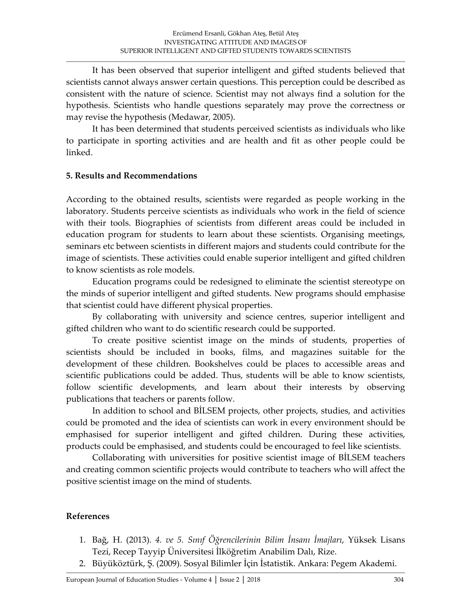It has been observed that superior intelligent and gifted students believed that scientists cannot always answer certain questions. This perception could be described as consistent with the nature of science. Scientist may not always find a solution for the hypothesis. Scientists who handle questions separately may prove the correctness or may revise the hypothesis (Medawar, 2005).

It has been determined that students perceived scientists as individuals who like to participate in sporting activities and are health and fit as other people could be linked.

#### **5. Results and Recommendations**

According to the obtained results, scientists were regarded as people working in the laboratory. Students perceive scientists as individuals who work in the field of science with their tools. Biographies of scientists from different areas could be included in education program for students to learn about these scientists. Organising meetings, seminars etc between scientists in different majors and students could contribute for the image of scientists. These activities could enable superior intelligent and gifted children to know scientists as role models.

Education programs could be redesigned to eliminate the scientist stereotype on the minds of superior intelligent and gifted students. New programs should emphasise that scientist could have different physical properties.

By collaborating with university and science centres, superior intelligent and gifted children who want to do scientific research could be supported.

To create positive scientist image on the minds of students, properties of scientists should be included in books, films, and magazines suitable for the development of these children. Bookshelves could be places to accessible areas and scientific publications could be added. Thus, students will be able to know scientists, follow scientific developments, and learn about their interests by observing publications that teachers or parents follow.

In addition to school and BİLSEM projects, other projects, studies, and activities could be promoted and the idea of scientists can work in every environment should be emphasised for superior intelligent and gifted children. During these activities, products could be emphasised, and students could be encouraged to feel like scientists.

Collaborating with universities for positive scientist image of BİLSEM teachers and creating common scientific projects would contribute to teachers who will affect the positive scientist image on the mind of students.

#### **References**

- 1. Bağ, H. (2013). *4. ve 5. Sınıf Öğrencilerinin Bilim İnsanı İmajları*, Yüksek Lisans Tezi, Recep Tayyip Üniversitesi İlköğretim Anabilim Dalı, Rize.
- 2. Büyüköztürk, Ş. (2009). Sosyal Bilimler İçin İstatistik. Ankara: Pegem Akademi.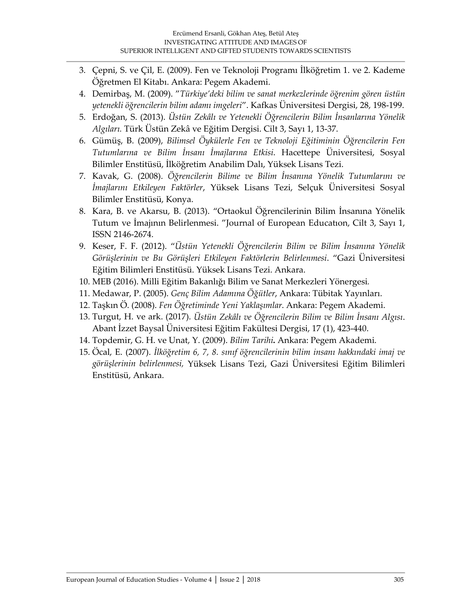- 3. Çepni, S. ve Çil, E. (2009). Fen ve Teknoloji Programı İlköğretim 1. ve 2. Kademe Öğretmen El Kitabı. Ankara: Pegem Akademi.
- 4. Demirbaş, M. (2009). "*Türkiye'deki bilim ve sanat merkezlerinde öğrenim gören üstün yetenekli öğrencilerin bilim adamı imgeleri*". Kafkas Üniversitesi Dergisi, 28, 198-199.
- 5. Erdoğan, S. (2013). *Üstün Zekâlı ve Yetenekli Öğrencilerin Bilim İnsanlarına Yönelik Algıları.* Türk Üstün Zekâ ve Eğitim Dergisi. Cilt 3, Sayı 1, 13-37.
- 6. Gümüş, B. (2009), *Bilimsel Öykülerle Fen ve Teknoloji Eğitiminin Öğrencilerin Fen Tutumlarına ve Bilim İnsanı İmajlarına Etkisi*. Hacettepe Üniversitesi, Sosyal Bilimler Enstitüsü, İlköğretim Anabilim Dalı, Yüksek Lisans Tezi.
- 7. Kavak, G. (2008). *Öğrencilerin Bilime ve Bilim İnsanına Yönelik Tutumlarını ve İmajlarını Etkileyen Faktörler*, Yüksek Lisans Tezi, Selçuk Üniversitesi Sosyal Bilimler Enstitüsü, Konya.
- 8. Kara, B. ve Akarsu, B. (2013). "Ortaokul Öğrencilerinin Bilim İnsanına Yönelik Tutum ve İmajının Belirlenmesi. "Journal of European Educatıon, Cilt 3, Sayı 1, ISSN 2146-2674.
- 9. Keser, F. F. (2012). "*Üstün Yetenekli Öğrencilerin Bilim ve Bilim İnsanına Yönelik Görüşlerinin ve Bu Görüşleri Etkileyen Faktörlerin Belirlenmesi*. "Gazi Üniversitesi Eğitim Bilimleri Enstitüsü. Yüksek Lisans Tezi. Ankara.
- 10. MEB (2016). Milli Eğitim Bakanlığı Bilim ve Sanat Merkezleri Yönergesi*.*
- 11. Medawar, P. (2005). *Genç Bilim Adamına Öğütler*, Ankara: Tübitak Yayınları.
- 12. Taşkın Ö. (2008). *Fen Öğretiminde Yeni Yaklaşımlar*. Ankara: Pegem Akademi.
- 13. Turgut, H. ve ark. (2017). *Üstün Zekâlı ve Öğrencilerin Bilim ve Bilim İnsanı Algısı*. Abant İzzet Baysal Üniversitesi Eğitim Fakültesi Dergisi, 17 (1), 423-440.
- 14. Topdemir, G. H. ve Unat, Y. (2009). *Bilim Tarihi***.** Ankara: Pegem Akademi.
- 15. Öcal, E. (2007). *İlköğretim 6, 7, 8. sınıf öğrencilerinin bilim insanı hakkındaki imaj ve görüşlerinin belirlenmesi,* Yüksek Lisans Tezi, Gazi Üniversitesi Eğitim Bilimleri Enstitüsü, Ankara.